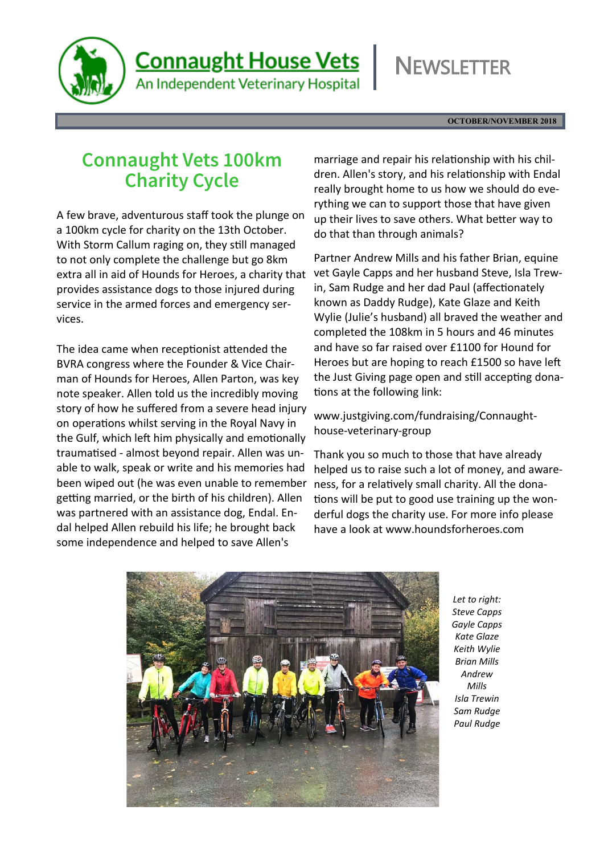

An Independent Veterinary Hospital

# **NEWSLETTER**

**OCTOBER/NOVEMBER 2018**

### **Connaught Vets 100km Charity Cycle**

A few brave, adventurous staff took the plunge on a 100km cycle for charity on the 13th October. With Storm Callum raging on, they still managed to not only complete the challenge but go 8km extra all in aid of Hounds for Heroes, a charity that provides assistance dogs to those injured during service in the armed forces and emergency services.

The idea came when receptionist attended the BVRA congress where the Founder & Vice Chairman of Hounds for Heroes, Allen Parton, was key note speaker. Allen told us the incredibly moving story of how he suffered from a severe head injury on operations whilst serving in the Royal Navy in the Gulf, which left him physically and emotionally traumatised - almost beyond repair. Allen was unable to walk, speak or write and his memories had been wiped out (he was even unable to remember getting married, or the birth of his children). Allen was partnered with an assistance dog, Endal. Endal helped Allen rebuild his life; he brought back some independence and helped to save Allen's

marriage and repair his relationship with his children. Allen's story, and his relationship with Endal really brought home to us how we should do everything we can to support those that have given up their lives to save others. What better way to do that than through animals?

Partner Andrew Mills and his father Brian, equine vet Gayle Capps and her husband Steve, Isla Trewin, Sam Rudge and her dad Paul (affectionately known as Daddy Rudge), Kate Glaze and Keith Wylie (Julie's husband) all braved the weather and completed the 108km in 5 hours and 46 minutes and have so far raised over £1100 for Hound for Heroes but are hoping to reach £1500 so have left the Just Giving page open and still accepting donations at the following link:

www.justgiving.com/fundraising/Connaughthouse-veterinary-group

Thank you so much to those that have already helped us to raise such a lot of money, and awareness, for a relatively small charity. All the donations will be put to good use training up the wonderful dogs the charity use. For more info please have a look at www.houndsforheroes.com



*Let to right: Steve Capps Gayle Capps Kate Glaze Keith Wylie Brian Mills Andrew Mills Isla Trewin Sam Rudge Paul Rudge*